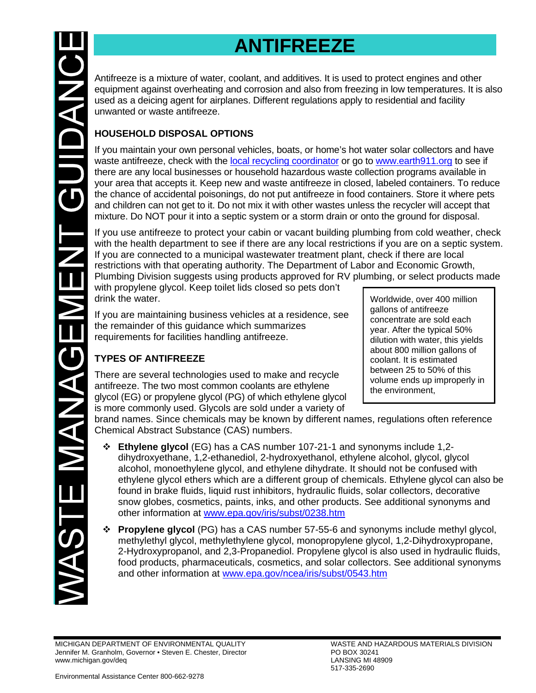# **ANTIFREEZE**

Antifreeze is a mixture of water, coolant, and additives. It is used to protect engines and other equipment against overheating and corrosion and also from freezing in low temperatures. It is also used as a deicing agent for airplanes. Different regulations apply to residential and facility unwanted or waste antifreeze.

# **HOUSEHOLD DISPOSAL OPTIONS**

If you maintain your own personal vehicles, boats, or home's hot water solar collectors and have waste antifreeze, check with the [local recycling coordinator](https://www.michigan.gov/documents/deq/deq-tou-RecyclingHHWContacts_607038_7.pdf) or go to [www.earth911.org](http://www.earth911.org/) to see if there are any local businesses or household hazardous waste collection programs available in your area that accepts it. Keep new and waste antifreeze in closed, labeled containers. To reduce the chance of accidental poisonings, do not put antifreeze in food containers. Store it where pets and children can not get to it. Do not mix it with other wastes unless the recycler will accept that mixture. Do NOT pour it into a septic system or a storm drain or onto the ground for disposal.

If you use antifreeze to protect your cabin or vacant building plumbing from cold weather, check with the health department to see if there are any local restrictions if you are on a septic system. If you are connected to a municipal wastewater treatment plant, check if there are local restrictions with that operating authority. The Department of Labor and Economic Growth, Plumbing Division suggests using products approved for RV plumbing, or select products made

with propylene glycol. Keep toilet lids closed so pets don't drink the water.

If you are maintaining business vehicles at a residence, see the remainder of this guidance which summarizes requirements for facilities handling antifreeze.

# **TYPES OF ANTIFREEZE**

There are several technologies used to make and recycle antifreeze. The two most common coolants are ethylene glycol (EG) or propylene glycol (PG) of which ethylene glycol is more commonly used. Glycols are sold under a variety of

Worldwide, over 400 million gallons of antifreeze concentrate are sold each year. After the typical 50% dilution with water, this yields about 800 million gallons of coolant. It is estimated between 25 to 50% of this volume ends up improperly in the environment,

brand names. Since chemicals may be known by different names, regulations often reference Chemical Abstract Substance (CAS) numbers.

- **Ethylene glycol** (EG) has a CAS number 107-21-1 and synonyms include 1,2 dihydroxyethane, 1,2-ethanediol, 2-hydroxyethanol, ethylene alcohol, glycol, glycol alcohol, monoethylene glycol, and ethylene dihydrate. It should not be confused with ethylene glycol ethers which are a different group of chemicals. Ethylene glycol can also be found in brake fluids, liquid rust inhibitors, hydraulic fluids, solar collectors, decorative snow globes, cosmetics, paints, inks, and other products. See additional synonyms and other information at [www.epa.gov/iris/subst/0238.htm](http://www.epa.gov/iris/subst/0238.htm)
- **Propylene glycol** (PG) has a CAS number 57-55-6 and synonyms include methyl glycol, methylethyl glycol, methylethylene glycol, monopropylene glycol, 1,2-Dihydroxypropane, 2-Hydroxypropanol, and 2,3-Propanediol. Propylene glycol is also used in hydraulic fluids, food products, pharmaceuticals, cosmetics, and solar collectors. See additional synonyms and other information at [www.epa.gov/ncea/iris/subst/0543.htm](http://www.epa.gov/ncea/iris/subst/0543.htm)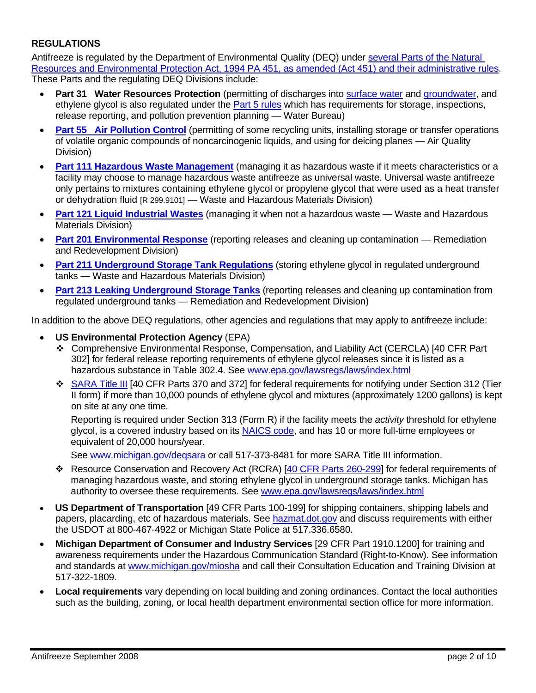## **REGULATIONS**

Antifreeze is regulated by the Department of Environmental Quality (DEQ) under [several Parts of the Natural](http://www.michigan.gov/deq/0,1607,7-135-3307_4132---,00.html)  [Resources and Environmental Protection Act, 1994 PA 451, as amended \(Act 451\) and their administrative rules.](http://www.michigan.gov/deq/0,1607,7-135-3307_4132---,00.html) These Parts and the regulating DEQ Divisions include:

- **Part 31 Water Resources Protection** (permitting of discharges into [surface water](http://www.michigan.gov/deq/0,1607,7-135-3313_3682_3713---,00.html) and [groundwater,](http://www.michigan.gov/deq/0,1607,7-135-3313_4117---,00.html) and ethylene glycol is also regulated under the **Part 5 rules** which has requirements for storage, inspections, release reporting, and pollution prevention planning — Water Bureau)
- **[Part 55 Air Pollution Control](http://www.michigan.gov/deq/0,1607,7-135-3310---,00.html)** (permitting of some recycling units, installing storage or transfer operations of volatile organic compounds of noncarcinogenic liquids, and using for deicing planes — Air Quality Division)
- **[Part 111 Hazardous Waste Management](http://www.michigan.gov/deq/0,1607,7-135-3312_4118_4240-9167--,00.html)** (managing it as hazardous waste if it meets characteristics or a facility may choose to manage hazardous waste antifreeze as universal waste. Universal waste antifreeze only pertains to mixtures containing ethylene glycol or propylene glycol that were used as a heat transfer or dehydration fluid [R 299.9101] — Waste and Hazardous Materials Division)
- **[Part 121 Liquid Industrial Wastes](http://www.michigan.gov/deq/0,1607,7-135-3312_4118_4240-9167--,00.html)** (managing it when not a hazardous waste Waste and Hazardous Materials Division)
- **[Part 201 Environmental Response](http://www.michigan.gov/deq/0,1607,7-135-3311_4109_9846---,00.html)** (reporting releases and cleaning up contamination Remediation and Redevelopment Division)
- **[Part 211 Underground Storage Tank Regulations](http://www.michigan.gov/deq/0,1607,7-135-3311_4115_4238---,00.html)** (storing ethylene glycol in regulated underground tanks — Waste and Hazardous Materials Division)
- **[Part 213 Leaking Underground Storage Tanks](http://www.michigan.gov/deq/0,1607,7-135-3311_4109_4215---,00.html)** (reporting releases and cleaning up contamination from regulated underground tanks — Remediation and Redevelopment Division)

In addition to the above DEQ regulations, other agencies and regulations that may apply to antifreeze include:

- **US Environmental Protection Agency** (EPA)
	- Comprehensive Environmental Response, Compensation, and Liability Act (CERCLA) [40 CFR Part 302] for federal release reporting requirements of ethylene glycol releases since it is listed as a hazardous substance in Table 302.4. See [www.epa.gov/lawsregs/laws/index.html](http://www.epa.gov/lawsregs/laws/index.html)
	- **SARA Title III** [40 CFR Parts 370 and 372] for federal requirements for notifying under Section 312 (Tier II form) if more than 10,000 pounds of ethylene glycol and mixtures (approximately 1200 gallons) is kept on site at any one time.

Reporting is required under Section 313 (Form R) if the facility meets the *activity* threshold for ethylene glycol, is a covered industry based on its **NAICS code**, and has 10 or more full-time employees or equivalent of 20,000 hours/year.

See www.michigan.gov/degsara or call 517-373-8481 for more SARA Title III information.

- \* Resource Conservation and Recovery Act (RCRA) [[40 CFR Parts 260-299](http://www.access.gpo.gov/cgi-bin/cfrassemble.cgi)] for federal requirements of managing hazardous waste, and storing ethylene glycol in underground storage tanks. Michigan has authority to oversee these requirements. See [www.epa.gov/lawsregs/laws/index.html](http://www.epa.gov/lawsregs/laws/index.html)
- **US Department of Transportation** [49 CFR Parts 100-199] for shipping containers, shipping labels and papers, placarding, etc of hazardous materials. See [hazmat.dot.gov](http://hazmat.dot.gov/) and discuss requirements with either the USDOT at 800-467-4922 or Michigan State Police at 517.336.6580.
- **Michigan Department of Consumer and Industry Services** [29 CFR Part 1910.1200] for training and awareness requirements under the Hazardous Communication Standard (Right-to-Know). See information and standards at [www.michigan.gov/miosha](http://www.michigan.gov/miosha) and call their Consultation Education and Training Division at 517-322-1809.
- **Local requirements** vary depending on local building and zoning ordinances. Contact the local authorities such as the building, zoning, or local health department environmental section office for more information.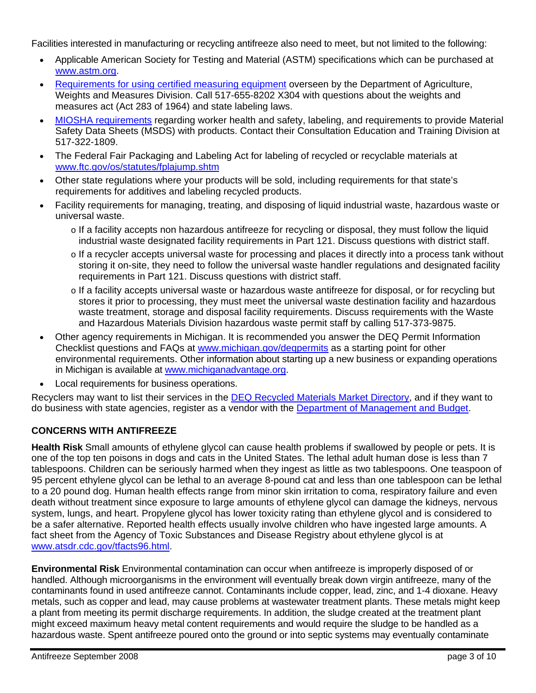Facilities interested in manufacturing or recycling antifreeze also need to meet, but not limited to the following:

- Applicable American Society for Testing and Material (ASTM) specifications which can be purchased at [www.astm.org.](http://www.astm.org/)
- [Requirements for using certified measuring equipment](http://www.michigan.gov/mda/0,1607,7-125-1569_19192---,00.html) overseen by the Department of Agriculture, Weights and Measures Division. Call 517-655-8202 X304 with questions about the weights and measures act (Act 283 of 1964) and state labeling laws.
- [MIOSHA requirements](http://www.michigan.gov/miosha) regarding worker health and safety, labeling, and requirements to provide Material Safety Data Sheets (MSDS) with products. Contact their Consultation Education and Training Division at 517-322-1809.
- The Federal Fair Packaging and Labeling Act for labeling of recycled or recyclable materials at [www.ftc.gov/os/statutes/fplajump.shtm](http://www.ftc.gov/os/statutes/fplajump.shtm)
- Other state regulations where your products will be sold, including requirements for that state's requirements for additives and labeling recycled products.
- Facility requirements for managing, treating, and disposing of liquid industrial waste, hazardous waste or universal waste.
	- o If a facility accepts non hazardous antifreeze for recycling or disposal, they must follow the liquid industrial waste designated facility requirements in Part 121. Discuss questions with district staff.
	- o If a recycler accepts universal waste for processing and places it directly into a process tank without storing it on-site, they need to follow the universal waste handler regulations and designated facility requirements in Part 121. Discuss questions with district staff.
	- o If a facility accepts universal waste or hazardous waste antifreeze for disposal, or for recycling but stores it prior to processing, they must meet the universal waste destination facility and hazardous waste treatment, storage and disposal facility requirements. Discuss requirements with the Waste and Hazardous Materials Division hazardous waste permit staff by calling 517-373-9875.
- Other agency requirements in Michigan. It is recommended you answer the DEQ Permit Information Checklist questions and FAQs at [www.michigan.gov/deqpermits](http://www.michigan.gov/deqpermits) as a starting point for other environmental requirements. Other information about starting up a new business or expanding operations in Michigan is available at [www.michiganadvantage.org.](http://www.michiganadvantage.org/)
- Local requirements for business operations.

Recyclers may want to list their services in the [DEQ Recycled Materials Market Directory,](http://www.michigan.gov/deqrmmd) and if they want to do business with state agencies, register as a vendor with the [Department of Management and Budget](http://www.michigan.gov/dmb).

# **CONCERNS WITH ANTIFREEZE**

**Health Risk** Small amounts of ethylene glycol can cause health problems if swallowed by people or pets. It is one of the top ten poisons in dogs and cats in the United States. The lethal adult human dose is less than 7 tablespoons. Children can be seriously harmed when they ingest as little as two tablespoons. One teaspoon of 95 percent ethylene glycol can be lethal to an average 8-pound cat and less than one tablespoon can be lethal to a 20 pound dog. Human health effects range from minor skin irritation to coma, respiratory failure and even death without treatment since exposure to large amounts of ethylene glycol can damage the kidneys, nervous system, lungs, and heart. Propylene glycol has lower toxicity rating than ethylene glycol and is considered to be a safer alternative. Reported health effects usually involve children who have ingested large amounts. A fact sheet from the Agency of Toxic Substances and Disease Registry about ethylene glycol is at [www.atsdr.cdc.gov/tfacts96.html.](http://www.atsdr.cdc.gov/tfacts96.html)

**Environmental Risk** Environmental contamination can occur when antifreeze is improperly disposed of or handled. Although microorganisms in the environment will eventually break down virgin antifreeze, many of the contaminants found in used antifreeze cannot. Contaminants include copper, lead, zinc, and 1-4 dioxane. Heavy metals, such as copper and lead, may cause problems at wastewater treatment plants. These metals might keep a plant from meeting its permit discharge requirements. In addition, the sludge created at the treatment plant might exceed maximum heavy metal content requirements and would require the sludge to be handled as a hazardous waste. Spent antifreeze poured onto the ground or into septic systems may eventually contaminate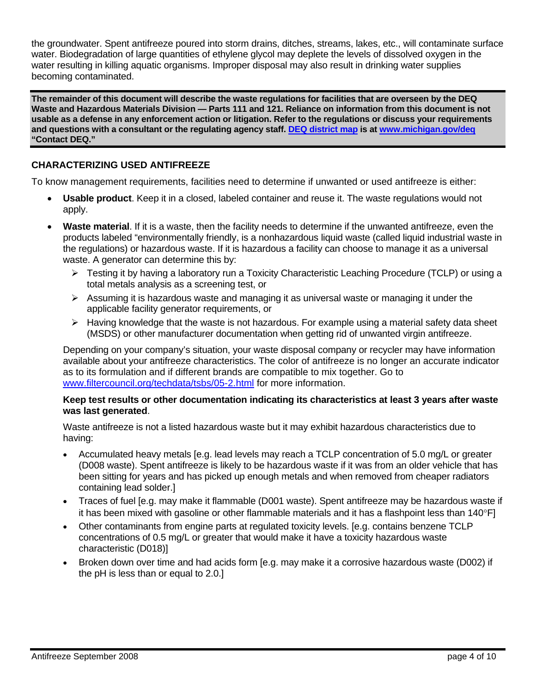the groundwater. Spent antifreeze poured into storm drains, ditches, streams, lakes, etc., will contaminate surface water. Biodegradation of large quantities of ethylene glycol may deplete the levels of dissolved oxygen in the water resulting in killing aquatic organisms. Improper disposal may also result in drinking water supplies becoming contaminated.

**The remainder of this document will describe the waste regulations for facilities that are overseen by the DEQ Waste and Hazardous Materials Division — Parts 111 and 121. Reliance on information from this document is not usable as a defense in any enforcement action or litigation. Refer to the regulations or discuss your requirements and questions with a consultant or the regulating agency staff. [DEQ district map](http://www.michigan.gov/deq/0,1607,7-135-3306_3329-12306--,00.html) is at [www.michigan.gov/deq](http://www.michigan.gov/deq) "Contact DEQ."**

## **CHARACTERIZING USED ANTIFREEZE**

To know management requirements, facilities need to determine if unwanted or used antifreeze is either:

- **Usable product**. Keep it in a closed, labeled container and reuse it. The waste regulations would not apply.
- **Waste material**. If it is a waste, then the facility needs to determine if the unwanted antifreeze, even the products labeled "environmentally friendly, is a nonhazardous liquid waste (called liquid industrial waste in the regulations) or hazardous waste. If it is hazardous a facility can choose to manage it as a universal waste. A generator can determine this by:
	- ¾ Testing it by having a laboratory run a Toxicity Characteristic Leaching Procedure (TCLP) or using a total metals analysis as a screening test, or
	- $\triangleright$  Assuming it is hazardous waste and managing it as universal waste or managing it under the applicable facility generator requirements, or
	- $\blacktriangleright$  Having knowledge that the waste is not hazardous. For example using a material safety data sheet (MSDS) or other manufacturer documentation when getting rid of unwanted virgin antifreeze.

Depending on your company's situation, your waste disposal company or recycler may have information available about your antifreeze characteristics. The color of antifreeze is no longer an accurate indicator as to its formulation and if different brands are compatible to mix together. Go to [www.filtercouncil.org/techdata/tsbs/05-2.html](http://www.filtercouncil.org/techdata/tsbs/05-2.html) for more information.

#### **Keep test results or other documentation indicating its characteristics at least 3 years after waste was last generated**.

Waste antifreeze is not a listed hazardous waste but it may exhibit hazardous characteristics due to having:

- Accumulated heavy metals [e.g. lead levels may reach a TCLP concentration of 5.0 mg/L or greater (D008 waste). Spent antifreeze is likely to be hazardous waste if it was from an older vehicle that has been sitting for years and has picked up enough metals and when removed from cheaper radiators containing lead solder.]
- Traces of fuel [e.g. may make it flammable (D001 waste). Spent antifreeze may be hazardous waste if it has been mixed with gasoline or other flammable materials and it has a flashpoint less than 140°F]
- Other contaminants from engine parts at regulated toxicity levels. [e.g. contains benzene TCLP concentrations of 0.5 mg/L or greater that would make it have a toxicity hazardous waste characteristic (D018)]
- Broken down over time and had acids form [e.g. may make it a corrosive hazardous waste (D002) if the pH is less than or equal to 2.0.]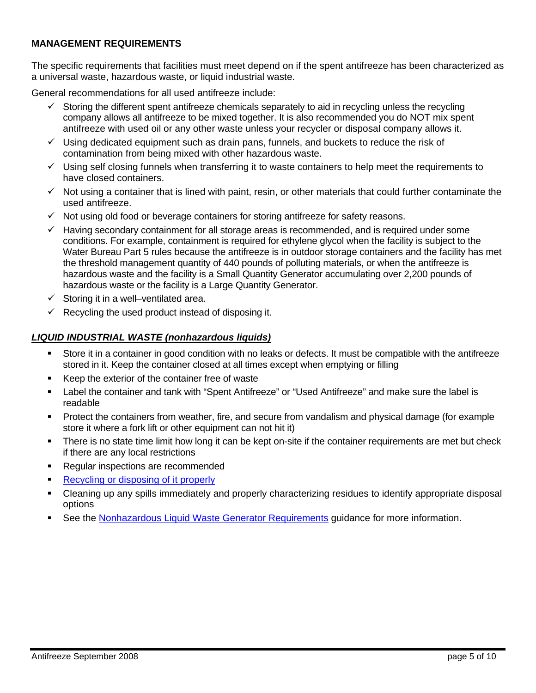#### **MANAGEMENT REQUIREMENTS**

The specific requirements that facilities must meet depend on if the spent antifreeze has been characterized as a universal waste, hazardous waste, or liquid industrial waste.

General recommendations for all used antifreeze include:

- Storing the different spent antifreeze chemicals separately to aid in recycling unless the recycling company allows all antifreeze to be mixed together. It is also recommended you do NOT mix spent antifreeze with used oil or any other waste unless your recycler or disposal company allows it.
- $\checkmark$  Using dedicated equipment such as drain pans, funnels, and buckets to reduce the risk of contamination from being mixed with other hazardous waste.
- $\checkmark$  Using self closing funnels when transferring it to waste containers to help meet the requirements to have closed containers.
- $\checkmark$  Not using a container that is lined with paint, resin, or other materials that could further contaminate the used antifreeze.
- $\checkmark$  Not using old food or beverage containers for storing antifreeze for safety reasons.
- $\checkmark$  Having secondary containment for all storage areas is recommended, and is required under some conditions. For example, containment is required for ethylene glycol when the facility is subject to the Water Bureau Part 5 rules because the antifreeze is in outdoor storage containers and the facility has met the threshold management quantity of 440 pounds of polluting materials, or when the antifreeze is hazardous waste and the facility is a Small Quantity Generator accumulating over 2,200 pounds of hazardous waste or the facility is a Large Quantity Generator.
- $\checkmark$  Storing it in a well–ventilated area.
- $\checkmark$  Recycling the used product instead of disposing it.

#### *LIQUID INDUSTRIAL WASTE (nonhazardous liquids)*

- Store it in a container in good condition with no leaks or defects. It must be compatible with the antifreeze stored in it. Keep the container closed at all times except when emptying or filling
- Keep the exterior of the container free of waste
- Label the container and tank with "Spent Antifreeze" or "Used Antifreeze" and make sure the label is readable
- Protect the containers from weather, fire, and secure from vandalism and physical damage (for example store it where a fork lift or other equipment can not hit it)
- There is no state time limit how long it can be kept on-site if the container requirements are met but check if there are any local restrictions
- Regular inspections are recommended
- [Recycling or disposing of it properly](#page-7-0)
- Cleaning up any spills immediately and properly characterizing residues to identify appropriate disposal options
- See the [Nonhazardous Liquid Waste Generator Requirements](http://www.michigan.gov/documents/deq/deq-ess-p2tas-liwgenerator_207980_7.pdf) guidance for more information.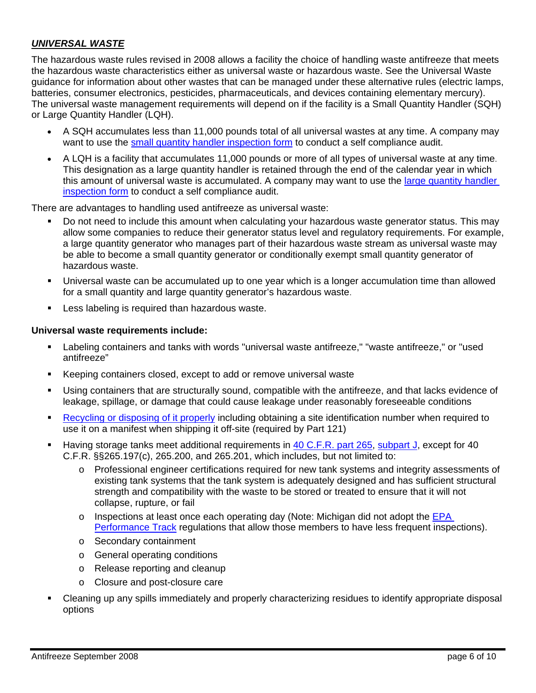#### *UNIVERSAL WASTE*

The hazardous waste rules revised in 2008 allows a facility the choice of handling waste antifreeze that meets the hazardous waste characteristics either as universal waste or hazardous waste. See the Universal Waste guidance for information about other wastes that can be managed under these alternative rules (electric lamps, batteries, consumer electronics, pesticides, pharmaceuticals, and devices containing elementary mercury). The universal waste management requirements will depend on if the facility is a Small Quantity Handler (SQH) or Large Quantity Handler (LQH).

- A SQH accumulates less than 11,000 pounds total of all universal wastes at any time. A company may want to use the [small quantity handler inspection form](http://www.deq.state.mi.us/documents/deq-whm-hwrp-eqp5186.pdf) to conduct a self compliance audit.
- A LQH is a facility that accumulates 11,000 pounds or more of all types of universal waste at any time. This designation as a large quantity handler is retained through the end of the calendar year in which this amount of universal waste is accumulated. A company may want to use the [large quantity handler](http://www.deq.state.mi.us/documents/deq-whm-hwrp-eqp5185.pdf)  [inspection form](http://www.deq.state.mi.us/documents/deq-whm-hwrp-eqp5185.pdf) to conduct a self compliance audit.

There are advantages to handling used antifreeze as universal waste:

- Do not need to include this amount when calculating your hazardous waste generator status. This may allow some companies to reduce their generator status level and regulatory requirements. For example, a large quantity generator who manages part of their hazardous waste stream as universal waste may be able to become a small quantity generator or conditionally exempt small quantity generator of hazardous waste.
- Universal waste can be accumulated up to one year which is a longer accumulation time than allowed for a small quantity and large quantity generator's hazardous waste.
- Less labeling is required than hazardous waste.

#### **Universal waste requirements include:**

- Labeling containers and tanks with words "universal waste antifreeze," "waste antifreeze," or "used antifreeze"
- Keeping containers closed, except to add or remove universal waste
- Using containers that are structurally sound, compatible with the antifreeze, and that lacks evidence of leakage, spillage, or damage that could cause leakage under reasonably foreseeable conditions
- [Recycling or disposing of it properly](#page-7-0) including obtaining a site identification number when required to use it on a manifest when shipping it off-site (required by Part 121)
- Having storage tanks meet additional requirements in [40 C.F.R. part 265,](http://ecfr.gpoaccess.gov/cgi/t/text/text-idx?c=ecfr&sid=6e9222f61c11a3fdefa2fb4f8438b0e2&rgn=div5&view=text&node=40:25.0.1.1.6&idno=40) [subpart J,](http://ecfr.gpoaccess.gov/cgi/t/text/text-idx?c=ecfr&sid=6e9222f61c11a3fdefa2fb4f8438b0e2&rgn=div5&view=text&node=40:25.0.1.1.6&idno=40#40:25.0.1.1.6.10) except for 40 C.F.R. §§265.197(c), 265.200, and 265.201, which includes, but not limited to:
	- o Professional engineer certifications required for new tank systems and integrity assessments of existing tank systems that the tank system is adequately designed and has sufficient structural strength and compatibility with the waste to be stored or treated to ensure that it will not collapse, rupture, or fail
	- $\circ$  Inspections at least once each operating day (Note: Michigan did not adopt the EPA [Performance Track](http://www.epa.gov/performancetrack/) regulations that allow those members to have less frequent inspections).
	- o Secondary containment
	- o General operating conditions
	- o Release reporting and cleanup
	- o Closure and post-closure care
- Cleaning up any spills immediately and properly characterizing residues to identify appropriate disposal options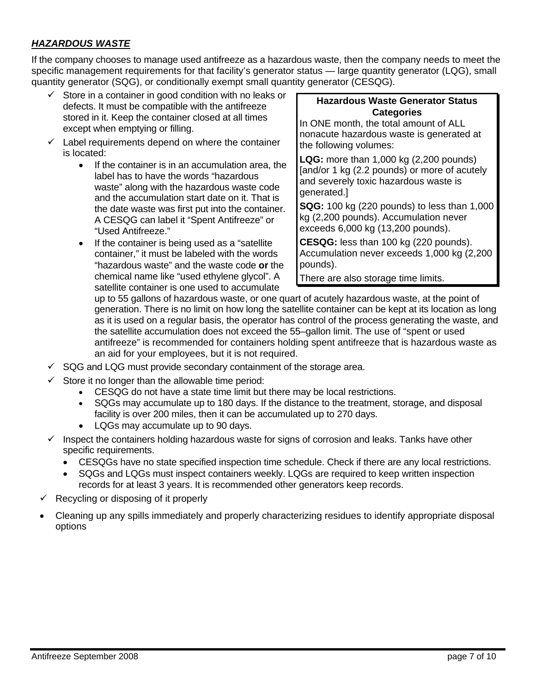## *HAZARDOUS WASTE*

If the company chooses to manage used antifreeze as a hazardous waste, then the company needs to meet the specific management requirements for that facility's generator status — large quantity generator (LQG), small quantity generator (SQG), or conditionally exempt small quantity generator (CESQG).

- $\checkmark$  Store in a container in good condition with no leaks or defects. It must be compatible with the antifreeze stored in it. Keep the container closed at all times except when emptying or filling.
- $\checkmark$  Label requirements depend on where the container is located:
	- If the container is in an accumulation area, the label has to have the words "hazardous waste" along with the hazardous waste code and the accumulation start date on it. That is the date waste was first put into the container. A CESQG can label it "Spent Antifreeze" or "Used Antifreeze."
	- If the container is being used as a "satellite container," it must be labeled with the words "hazardous waste" and the waste code **or** the chemical name like "used ethylene glycol". A satellite container is one used to accumulate

#### **Hazardous Waste Generator Status Categories**

In ONE month, the total amount of ALL nonacute hazardous waste is generated at the following volumes:

**LQG:** more than 1,000 kg (2,200 pounds) [and/or 1 kg (2.2 pounds) or more of acutely and severely toxic hazardous waste is generated.]

**SQG:** 100 kg (220 pounds) to less than 1,000 kg (2,200 pounds). Accumulation never exceeds 6,000 kg (13,200 pounds).

**CESQG:** less than 100 kg (220 pounds). Accumulation never exceeds 1,000 kg (2,200 pounds).

There are also storage time limits.

up to 55 gallons of hazardous waste, or one quart of acutely hazardous waste, at the point of generation. There is no limit on how long the satellite container can be kept at its location as long as it is used on a regular basis, the operator has control of the process generating the waste, and the satellite accumulation does not exceed the 55–gallon limit. The use of "spent or used antifreeze" is recommended for containers holding spent antifreeze that is hazardous waste as an aid for your employees, but it is not required.

- $\checkmark$  SQG and LQG must provide secondary containment of the storage area.
- $\checkmark$  Store it no longer than the allowable time period:
	- CESQG do not have a state time limit but there may be local restrictions.
	- SQGs may accumulate up to 180 days. If the distance to the treatment, storage, and disposal facility is over 200 miles, then it can be accumulated up to 270 days.
	- LQGs may accumulate up to 90 days.
- $\checkmark$  Inspect the containers holding hazardous waste for signs of corrosion and leaks. Tanks have other specific requirements.
	- CESQGs have no state specified inspection time schedule. Check if there are any local restrictions.
	- SQGs and LQGs must inspect containers weekly. LQGs are required to keep written inspection records for at least 3 years. It is recommended other generators keep records.
- 9 Recycling or disposing of it properly
- Cleaning up any spills immediately and properly characterizing residues to identify appropriate disposal options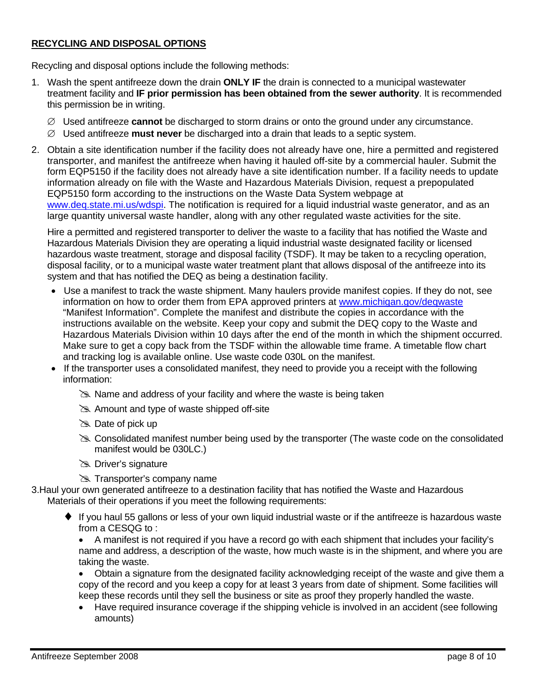#### <span id="page-7-0"></span>**RECYCLING AND DISPOSAL OPTIONS**

Recycling and disposal options include the following methods:

- 1. Wash the spent antifreeze down the drain **ONLY IF** the drain is connected to a municipal wastewater treatment facility and **IF prior permission has been obtained from the sewer authority**. It is recommended this permission be in writing.
	- ∅ Used antifreeze **cannot** be discharged to storm drains or onto the ground under any circumstance.
	- ∅ Used antifreeze **must never** be discharged into a drain that leads to a septic system.
- 2. Obtain a site identification number if the facility does not already have one, hire a permitted and registered transporter, and manifest the antifreeze when having it hauled off-site by a commercial hauler. Submit the form EQP5150 if the facility does not already have a site identification number. If a facility needs to update information already on file with the Waste and Hazardous Materials Division, request a prepopulated EQP5150 form according to the instructions on the Waste Data System webpage at [www.deq.state.mi.us/wdspi.](http://www.deq.state.mi.us/wdspi/) The notification is required for a liquid industrial waste generator, and as an large quantity universal waste handler, along with any other regulated waste activities for the site.

Hire a permitted and registered transporter to deliver the waste to a facility that has notified the Waste and Hazardous Materials Division they are operating a liquid industrial waste designated facility or licensed hazardous waste treatment, storage and disposal facility (TSDF). It may be taken to a recycling operation, disposal facility, or to a municipal waste water treatment plant that allows disposal of the antifreeze into its system and that has notified the DEQ as being a destination facility.

- Use a manifest to track the waste shipment. Many haulers provide manifest copies. If they do not, see information on how to order them from EPA approved printers at [www.michigan.gov/deqwaste](http://www.michigan.gov/deqwaste) "Manifest Information". Complete the manifest and distribute the copies in accordance with the instructions available on the website. Keep your copy and submit the DEQ copy to the Waste and Hazardous Materials Division within 10 days after the end of the month in which the shipment occurred. Make sure to get a copy back from the TSDF within the allowable time frame. A timetable flow chart and tracking log is available online. Use waste code 030L on the manifest.
- If the transporter uses a consolidated manifest, they need to provide you a receipt with the following information:
	- $\geq$  Name and address of your facility and where the waste is being taken
	- $\gg$  Amount and type of waste shipped off-site
	- $\gg$  Date of pick up
	- Sour Consolidated manifest number being used by the transporter (The waste code on the consolidated manifest would be 030LC.)
	- **& Driver's signature**
	- **Exall Transporter's company name**

3.Haul your own generated antifreeze to a destination facility that has notified the Waste and Hazardous Materials of their operations if you meet the following requirements:

♦ If you haul 55 gallons or less of your own liquid industrial waste or if the antifreeze is hazardous waste from a CESQG to :

• A manifest is not required if you have a record go with each shipment that includes your facility's name and address, a description of the waste, how much waste is in the shipment, and where you are taking the waste.

keep these records until they sell the business or site as proof they properly handled the waste. • Obtain a signature from the designated facility acknowledging receipt of the waste and give them a copy of the record and you keep a copy for at least 3 years from date of shipment. Some facilities will

• Have required insurance coverage if the shipping vehicle is involved in an accident (see following amounts)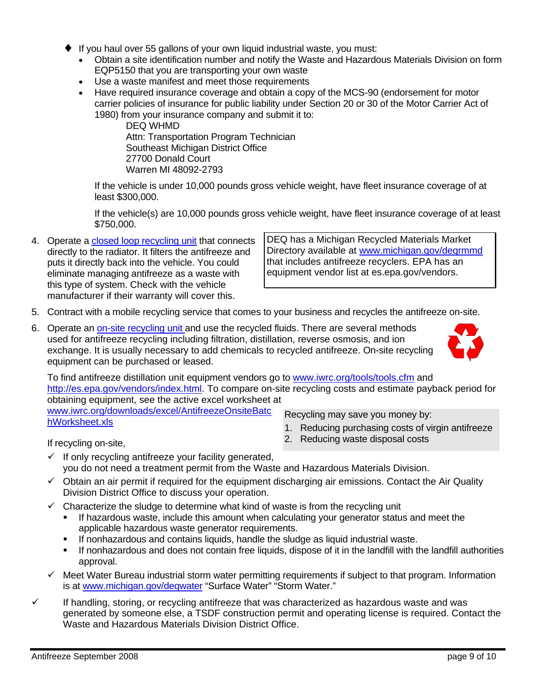- <span id="page-8-0"></span>♦ If you haul over 55 gallons of your own liquid industrial waste, you must:
	- Obtain a site identification number and notify the Waste and Hazardous Materials Division on form EQP5150 that you are transporting your own waste
	- Use a waste manifest and meet those requirements
	- Have required insurance coverage and obtain a copy of the MCS-90 (endorsement for motor carrier policies of insurance for public liability under Section 20 or 30 of the Motor Carrier Act of 1980) from your insurance company and submit it to:

DEQ WHMD Attn: Transportation Program Technician Southeast Michigan District Office 27700 Donald Court Warren MI 48092-2793

If the vehicle is under 10,000 pounds gross vehicle weight, have fleet insurance coverage of at least \$300,000.

If the vehicle(s) are 10,000 pounds gross vehicle weight, have fleet insurance coverage of at least \$750,000.

4. Operate a [closed loop recycling unit](http://www.iwrc.org/downloads/pdf/AntifreezeOnsiteClosedLoopRecycling.pdf) that connects directly to the radiator. It filters the antifreeze and puts it directly back into the vehicle. You could eliminate managing antifreeze as a waste with this type of system. Check with the vehicle manufacturer if their warranty will cover this.

DEQ has a Michigan Recycled Materials Market Directory available at [www.michigan.gov/deqrmmd](http://www.michigan.gov/deqrmmd) that includes antifreeze recyclers. EPA has an equipment vendor list at es.epa.gov/vendors.

- 5. Contract with a mobile recycling service that comes to your business and recycles the antifreeze on-site.
- 6. Operate an [on-site recycling unit](#page-8-0) and use the recycled fluids. There are several methods used for antifreeze recycling including filtration, distillation, reverse osmosis, and ion exchange. It is usually necessary to add chemicals to recycled antifreeze. On-site recycling equipment can be purchased or leased.



To find antifreeze distillation unit equipment vendors go to [www.iwrc.org/tools/tools.cfm](http://www.iwrc.org/tools/tools.cfm) and [http://es.epa.gov/vendors/index.html.](http://es.epa.gov/vendors/index.html) To compare on-site recycling costs and estimate payback period for obtaining equipment, see the active excel worksheet at [www.iwrc.org/downloads/excel/AntifreezeOnsiteBatc](http://www.iwrc.org/downloads/excel/AntifreezeOnsiteBatchWorksheet.xls)

[hWorksheet.xls](http://www.iwrc.org/downloads/excel/AntifreezeOnsiteBatchWorksheet.xls)

Recycling may save you money by:

2. Reducing waste disposal costs

1. Reducing purchasing costs of virgin antifreeze

- If recycling on-site,
- $\checkmark$  If only recycling antifreeze your facility generated, you do not need a treatment permit from the Waste and Hazardous Materials Division.
- $\checkmark$  Obtain an air permit if required for the equipment discharging air emissions. Contact the Air Quality Division District Office to discuss your operation.
- $\checkmark$  Characterize the sludge to determine what kind of waste is from the recycling unit
	- If hazardous waste, include this amount when calculating your generator status and meet the applicable hazardous waste generator requirements.
	- If nonhazardous and contains liquids, handle the sludge as liquid industrial waste.
	- If nonhazardous and does not contain free liquids, dispose of it in the landfill with the landfill authorities approval.
- $\checkmark$  Meet Water Bureau industrial storm water permitting requirements if subject to that program. Information is at [www.michigan.gov/deqwater](http://www.michigan.gov/deqwater) "Surface Water" "Storm Water."
- $\checkmark$  If handling, storing, or recycling antifreeze that was characterized as hazardous waste and was generated by someone else, a TSDF construction permit and operating license is required. Contact the Waste and Hazardous Materials Division District Office.